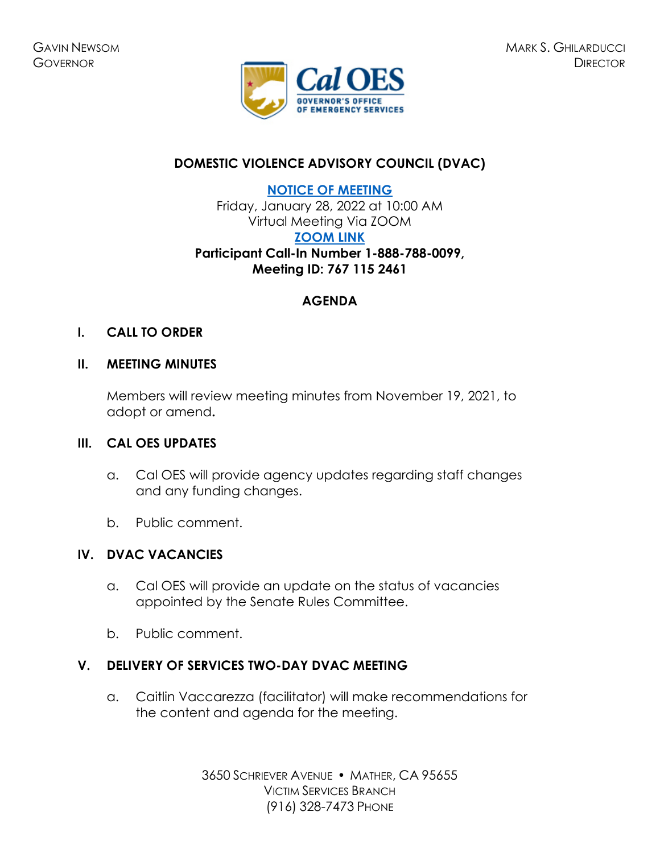

# **DOMESTIC VIOLENCE ADVISORY COUNCIL (DVAC)**

**[NOTICE OF MEETING](https://www.caloes.ca.gov/cal-oes-divisions/grants-management/victim-services/meeting-public-notices)**

Friday, January 28, 2022 at 10:00 AM Virtual Meeting Via ZOOM **[ZOOM LINK](https://us02web.zoom.us/j/7671152461) Participant Call-In Number 1-888-788-0099, Meeting ID: 767 115 2461** 

# **AGENDA**

### **I. CALL TO ORDER**

### **II. MEETING MINUTES**

Members will review meeting minutes from November 19, 2021, to adopt or amend**.** 

### **III. CAL OES UPDATES**

- a. Cal OES will provide agency updates regarding staff changes and any funding changes.
- b. Public comment.

### **IV. DVAC VACANCIES**

- a. Cal OES will provide an update on the status of vacancies appointed by the Senate Rules Committee.
- b. Public comment.

### **V. DELIVERY OF SERVICES TWO-DAY DVAC MEETING**

a. Caitlin Vaccarezza (facilitator) will make recommendations for the content and agenda for the meeting.

> 3650 SCHRIEVER AVENUE · MATHER, CA 95655 VICTIM SERVICES BRANCH (916) 328-7473 PHONE